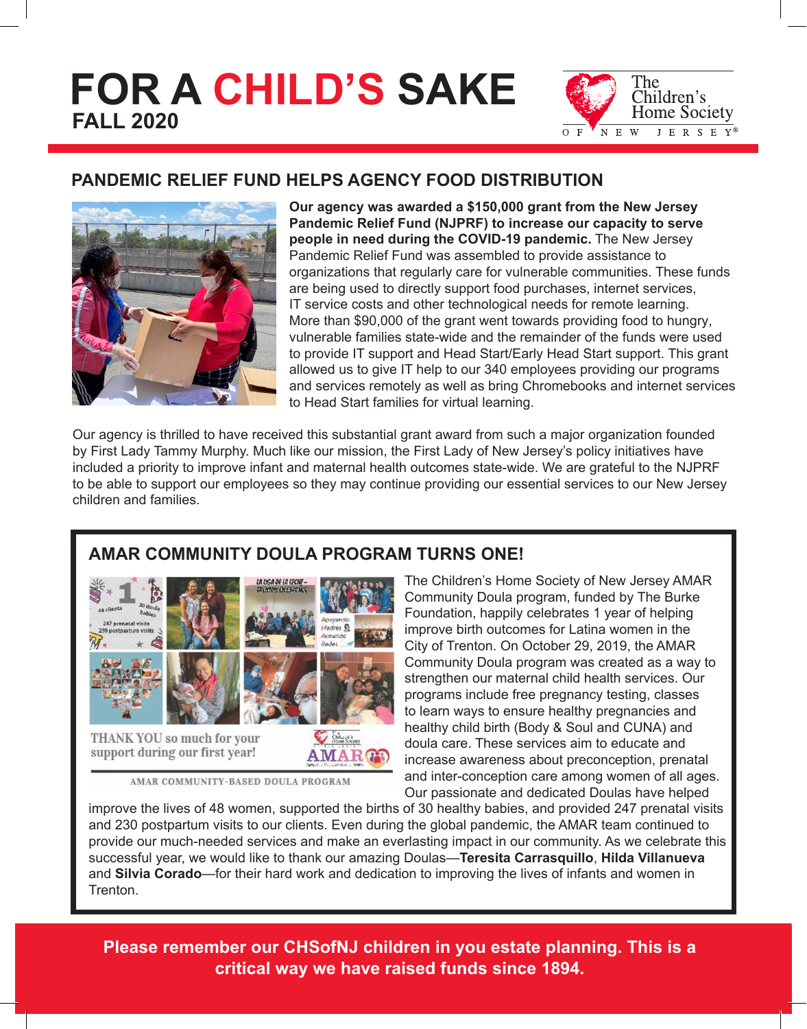# **FOR A CHILD'S SAKE FALL 2020**



## **PANDEMIC RELIEF FUND HELPS AGENCY FOOD DISTRIBUTION**



**Our agency was awarded a \$150,000 grant from the New Jersey Pandemic Relief Fund (NJPRF) to increase our capacity to serve people in need during the COVID-19 pandemic.** The New Jersey Pandemic Relief Fund was assembled to provide assistance to organizations that regularly care for vulnerable communities. These funds are being used to directly support food purchases, internet services, IT service costs and other technological needs for remote learning. More than \$90,000 of the grant went towards providing food to hungry, vulnerable families state-wide and the remainder of the funds were used to provide IT support and Head Start/Early Head Start support. This grant allowed us to give IT help to our 340 employees providing our programs and services remotely as well as bring Chromebooks and internet services to Head Start families for virtual learning.

Our agency is thrilled to have received this substantial grant award from such a major organization founded by First Lady Tammy Murphy. Much like our mission, the First Lady of New Jersey's policy initiatives have included a priority to improve infant and maternal health outcomes state-wide. We are grateful to the NJPRF to be able to support our employees so they may continue providing our essential services to our New Jersey children and families.

## **AMAR COMMUNITY DOULA PROGRAM TURNS ONE!**



AMAR COMMUNITY-BASED DOULA PROGRAM

The Children's Home Society of New Jersey AMAR Community Doula program, funded by The Burke Foundation, happily celebrates 1 year of helping improve birth outcomes for Latina women in the City of Trenton. On October 29, 2019, the AMAR Community Doula program was created as a way to strengthen our maternal child health services. Our programs include free pregnancy testing, classes to learn ways to ensure healthy pregnancies and healthy child birth (Body & Soul and CUNA) and doula care. These services aim to educate and increase awareness about preconception, prenatal and inter-conception care among women of all ages. Our passionate and dedicated Doulas have helped

improve the lives of 48 women, supported the births of 30 healthy babies, and provided 247 prenatal visits and 230 postpartum visits to our clients. Even during the global pandemic, the AMAR team continued to provide our much-needed services and make an everlasting impact in our community. As we celebrate this successful year, we would like to thank our amazing Doulas—**Teresita Carrasquillo**, **Hilda Villanueva** and **Silvia Corado**—for their hard work and dedication to improving the lives of infants and women in Trenton.

**Please remember our CHSofNJ children in you estate planning. This is a critical way we have raised funds since 1894.**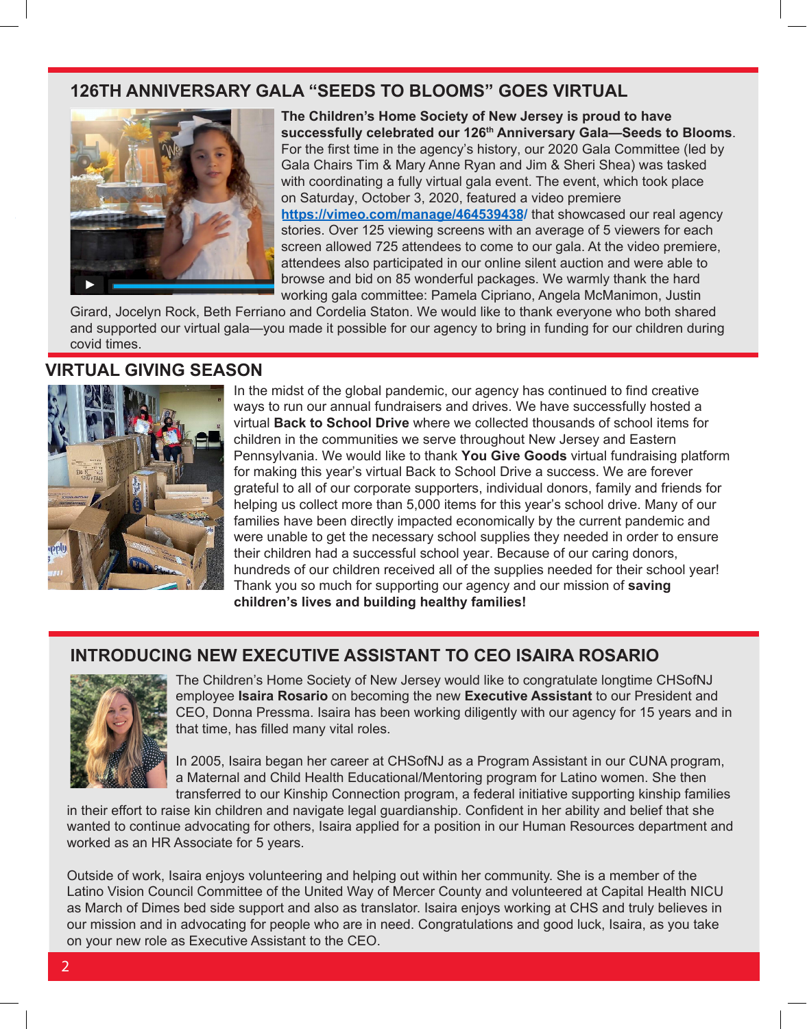### **126TH ANNIVERSARY GALA "SEEDS TO BLOOMS" GOES VIRTUAL**



**The Children's Home Society of New Jersey is proud to have successfully celebrated our 126th Anniversary Gala—Seeds to Blooms**. For the first time in the agency's history, our 2020 Gala Committee (led by Gala Chairs Tim & Mary Anne Ryan and Jim & Sheri Shea) was tasked with coordinating a fully virtual gala event. The event, which took place on Saturday, October 3, 2020, featured a video premiere **https://vimeo.com/manage/464539438/** that showcased our real agency stories. Over 125 viewing screens with an average of 5 viewers for each screen allowed 725 attendees to come to our gala. At the video premiere, attendees also participated in our online silent auction and were able to browse and bid on 85 wonderful packages. We warmly thank the hard working gala committee: Pamela Cipriano, Angela McManimon, Justin

Girard, Jocelyn Rock, Beth Ferriano and Cordelia Staton. We would like to thank everyone who both shared and supported our virtual gala—you made it possible for our agency to bring in funding for our children during covid times.

#### **VIRTUAL GIVING SEASON**



In the midst of the global pandemic, our agency has continued to find creative ways to run our annual fundraisers and drives. We have successfully hosted a virtual **Back to School Drive** where we collected thousands of school items for children in the communities we serve throughout New Jersey and Eastern Pennsylvania. We would like to thank **You Give Goods** virtual fundraising platform for making this year's virtual Back to School Drive a success. We are forever grateful to all of our corporate supporters, individual donors, family and friends for helping us collect more than 5,000 items for this year's school drive. Many of our families have been directly impacted economically by the current pandemic and were unable to get the necessary school supplies they needed in order to ensure their children had a successful school year. Because of our caring donors, hundreds of our children received all of the supplies needed for their school year! Thank you so much for supporting our agency and our mission of **saving children's lives and building healthy families!**

## **INTRODUCING NEW EXECUTIVE ASSISTANT TO CEO ISAIRA ROSARIO**



The Children's Home Society of New Jersey would like to congratulate longtime CHSofNJ employee **Isaira Rosario** on becoming the new **Executive Assistant** to our President and CEO, Donna Pressma. Isaira has been working diligently with our agency for 15 years and in that time, has filled many vital roles.

In 2005, Isaira began her career at CHSofNJ as a Program Assistant in our CUNA program, a Maternal and Child Health Educational/Mentoring program for Latino women. She then transferred to our Kinship Connection program, a federal initiative supporting kinship families

in their effort to raise kin children and navigate legal guardianship. Confident in her ability and belief that she wanted to continue advocating for others, Isaira applied for a position in our Human Resources department and worked as an HR Associate for 5 years.

Outside of work, Isaira enjoys volunteering and helping out within her community. She is a member of the Latino Vision Council Committee of the United Way of Mercer County and volunteered at Capital Health NICU as March of Dimes bed side support and also as translator. Isaira enjoys working at CHS and truly believes in our mission and in advocating for people who are in need. Congratulations and good luck, Isaira, as you take on your new role as Executive Assistant to the CEO.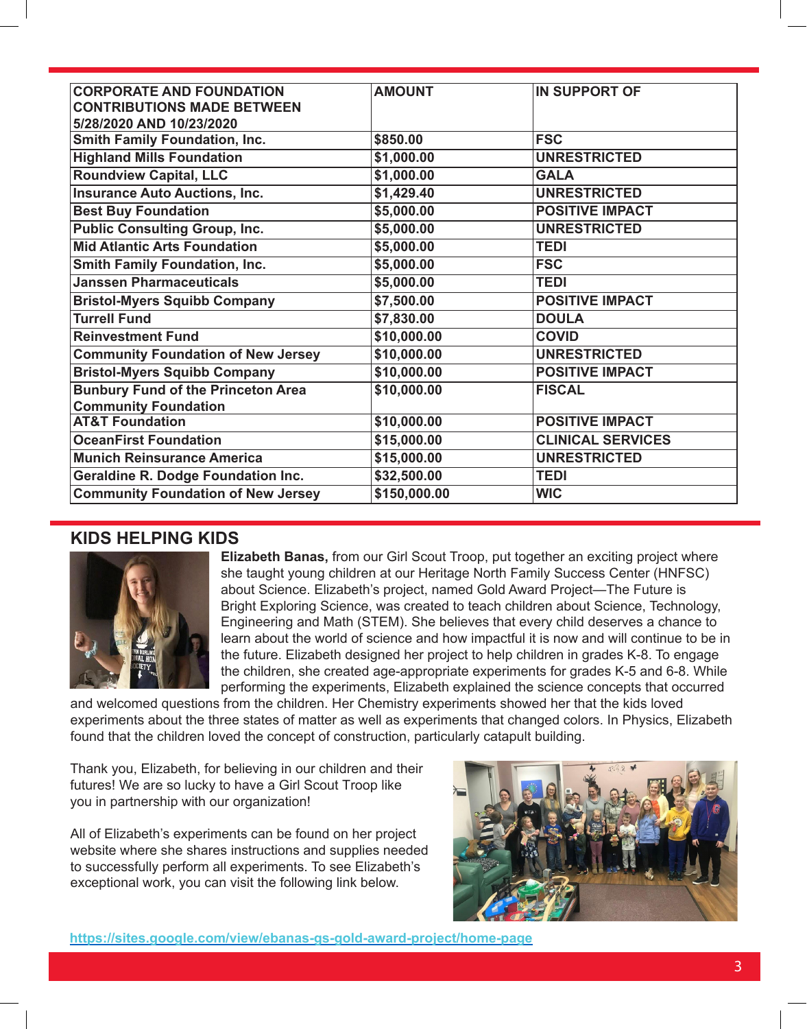| <b>CORPORATE AND FOUNDATION</b>           | <b>AMOUNT</b> | <b>IN SUPPORT OF</b>     |
|-------------------------------------------|---------------|--------------------------|
| <b>CONTRIBUTIONS MADE BETWEEN</b>         |               |                          |
| 5/28/2020 AND 10/23/2020                  |               |                          |
| <b>Smith Family Foundation, Inc.</b>      | \$850.00      | <b>FSC</b>               |
| <b>Highland Mills Foundation</b>          | \$1,000.00    | <b>UNRESTRICTED</b>      |
| <b>Roundview Capital, LLC</b>             | \$1,000.00    | <b>GALA</b>              |
| <b>Insurance Auto Auctions, Inc.</b>      | \$1,429.40    | <b>UNRESTRICTED</b>      |
| <b>Best Buy Foundation</b>                | \$5,000.00    | <b>POSITIVE IMPACT</b>   |
| <b>Public Consulting Group, Inc.</b>      | \$5,000.00    | <b>UNRESTRICTED</b>      |
| <b>Mid Atlantic Arts Foundation</b>       | \$5,000.00    | <b>TEDI</b>              |
| <b>Smith Family Foundation, Inc.</b>      | \$5,000.00    | <b>FSC</b>               |
| <b>Janssen Pharmaceuticals</b>            | \$5,000.00    | <b>TEDI</b>              |
| <b>Bristol-Myers Squibb Company</b>       | \$7,500.00    | <b>POSITIVE IMPACT</b>   |
| <b>Turrell Fund</b>                       | \$7,830.00    | <b>DOULA</b>             |
| <b>Reinvestment Fund</b>                  | \$10,000.00   | <b>COVID</b>             |
| <b>Community Foundation of New Jersey</b> | \$10,000.00   | <b>UNRESTRICTED</b>      |
| <b>Bristol-Myers Squibb Company</b>       | \$10,000.00   | <b>POSITIVE IMPACT</b>   |
| <b>Bunbury Fund of the Princeton Area</b> | \$10,000.00   | <b>FISCAL</b>            |
| <b>Community Foundation</b>               |               |                          |
| <b>AT&amp;T Foundation</b>                | \$10,000.00   | <b>POSITIVE IMPACT</b>   |
| <b>OceanFirst Foundation</b>              | \$15,000.00   | <b>CLINICAL SERVICES</b> |
| <b>Munich Reinsurance America</b>         | \$15,000.00   | <b>UNRESTRICTED</b>      |
| <b>Geraldine R. Dodge Foundation Inc.</b> | \$32,500.00   | <b>TEDI</b>              |
| <b>Community Foundation of New Jersey</b> | \$150,000.00  | <b>WIC</b>               |

#### **KIDS HELPING KIDS**



**Elizabeth Banas,** from our Girl Scout Troop, put together an exciting project where she taught young children at our Heritage North Family Success Center (HNFSC) about Science. Elizabeth's project, named Gold Award Project—The Future is Bright Exploring Science, was created to teach children about Science, Technology, Engineering and Math (STEM). She believes that every child deserves a chance to learn about the world of science and how impactful it is now and will continue to be in the future. Elizabeth designed her project to help children in grades K-8. To engage the children, she created age-appropriate experiments for grades K-5 and 6-8. While performing the experiments, Elizabeth explained the science concepts that occurred

and welcomed questions from the children. Her Chemistry experiments showed her that the kids loved experiments about the three states of matter as well as experiments that changed colors. In Physics, Elizabeth found that the children loved the concept of construction, particularly catapult building.

Thank you, Elizabeth, for believing in our children and their futures! We are so lucky to have a Girl Scout Troop like you in partnership with our organization!

All of Elizabeth's experiments can be found on her project website where she shares instructions and supplies needed to successfully perform all experiments. To see Elizabeth's exceptional work, you can visit the following link below.